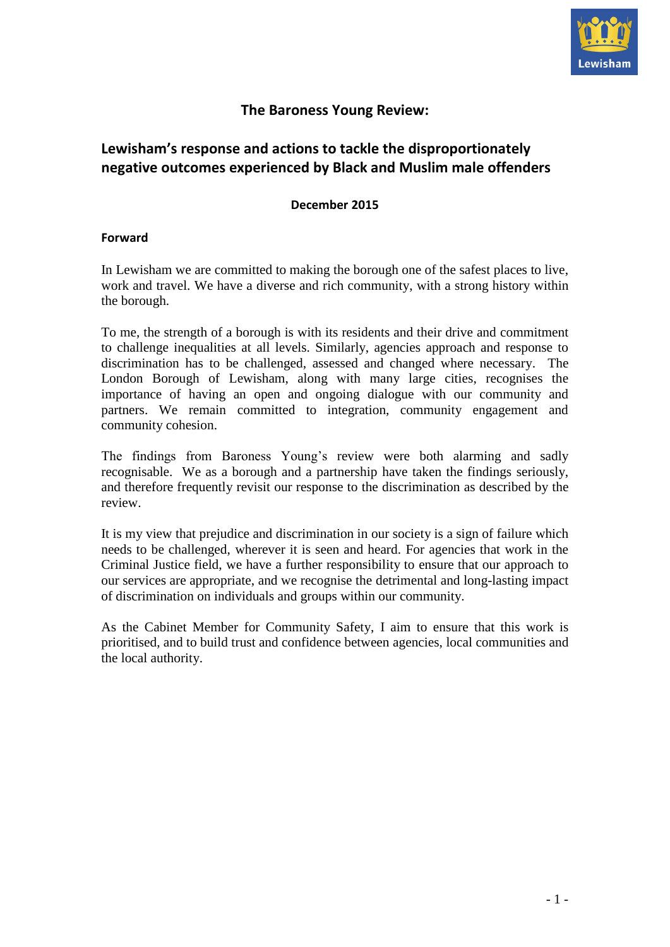

# **The Baroness Young Review:**

# **Lewisham's response and actions to tackle the disproportionately negative outcomes experienced by Black and Muslim male offenders**

## **December 2015**

## **Forward**

In Lewisham we are committed to making the borough one of the safest places to live, work and travel. We have a diverse and rich community, with a strong history within the borough.

To me, the strength of a borough is with its residents and their drive and commitment to challenge inequalities at all levels. Similarly, agencies approach and response to discrimination has to be challenged, assessed and changed where necessary. The London Borough of Lewisham, along with many large cities, recognises the importance of having an open and ongoing dialogue with our community and partners. We remain committed to integration, community engagement and community cohesion.

The findings from Baroness Young's review were both alarming and sadly recognisable. We as a borough and a partnership have taken the findings seriously, and therefore frequently revisit our response to the discrimination as described by the review.

It is my view that prejudice and discrimination in our society is a sign of failure which needs to be challenged, wherever it is seen and heard. For agencies that work in the Criminal Justice field, we have a further responsibility to ensure that our approach to our services are appropriate, and we recognise the detrimental and long-lasting impact of discrimination on individuals and groups within our community.

As the Cabinet Member for Community Safety, I aim to ensure that this work is prioritised, and to build trust and confidence between agencies, local communities and the local authority.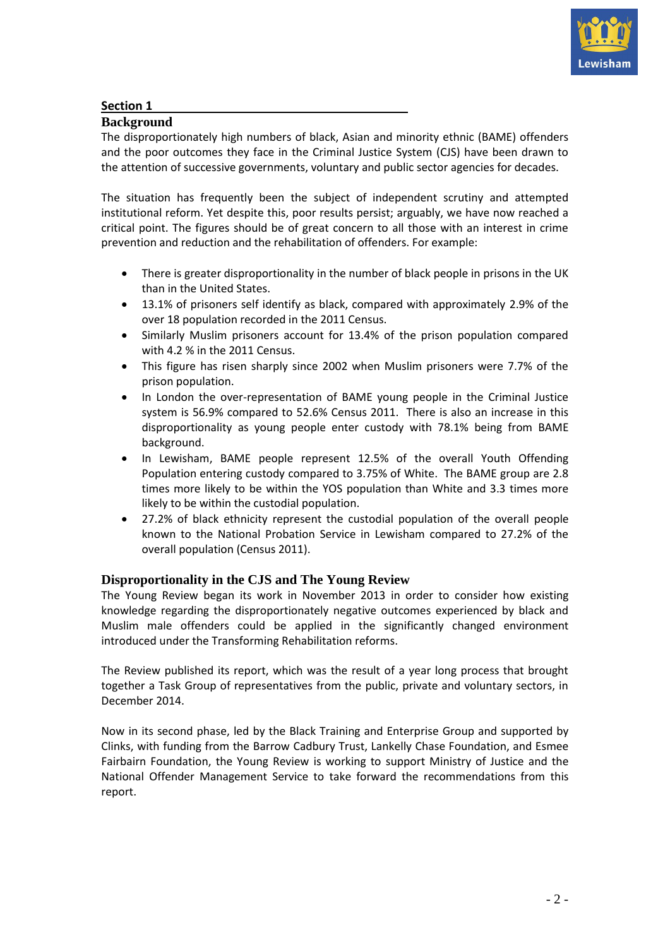

## **Section 1**

## **Background**

The disproportionately high numbers of black, Asian and minority ethnic (BAME) offenders and the poor outcomes they face in the Criminal Justice System (CJS) have been drawn to the attention of successive governments, voluntary and public sector agencies for decades.

The situation has frequently been the subject of independent scrutiny and attempted institutional reform. Yet despite this, poor results persist; arguably, we have now reached a critical point. The figures should be of great concern to all those with an interest in crime prevention and reduction and the rehabilitation of offenders. For example:

- There is greater disproportionality in the number of black people in prisons in the UK than in the United States.
- 13.1% of prisoners self identify as black, compared with approximately 2.9% of the over 18 population recorded in the 2011 Census.
- Similarly Muslim prisoners account for 13.4% of the prison population compared with 4.2 % in the 2011 Census.
- This figure has risen sharply since 2002 when Muslim prisoners were 7.7% of the prison population.
- In London the over-representation of BAME young people in the Criminal Justice system is 56.9% compared to 52.6% Census 2011. There is also an increase in this disproportionality as young people enter custody with 78.1% being from BAME background.
- In Lewisham, BAME people represent 12.5% of the overall Youth Offending Population entering custody compared to 3.75% of White. The BAME group are 2.8 times more likely to be within the YOS population than White and 3.3 times more likely to be within the custodial population.
- 27.2% of black ethnicity represent the custodial population of the overall people known to the National Probation Service in Lewisham compared to 27.2% of the overall population (Census 2011).

## **Disproportionality in the CJS and The Young Review**

The Young Review began its work in November 2013 in order to consider how existing knowledge regarding the disproportionately negative outcomes experienced by black and Muslim male offenders could be applied in the significantly changed environment introduced under the Transforming Rehabilitation reforms.

The Review published its report, which was the result of a year long process that brought together a Task Group of representatives from the public, private and voluntary sectors, in December 2014.

Now in its second phase, led by the Black Training and Enterprise Group and supported by Clinks, with funding from the Barrow Cadbury Trust, Lankelly Chase Foundation, and Esmee Fairbairn Foundation, the Young Review is working to support Ministry of Justice and the National Offender Management Service to take forward the recommendations from this report.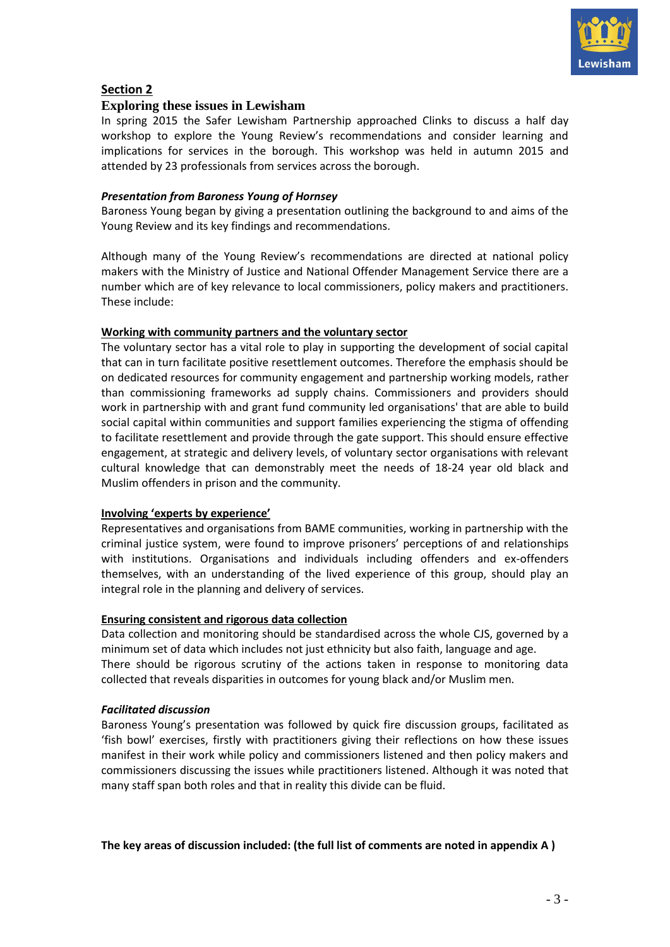

## **Section 2**

## **Exploring these issues in Lewisham**

In spring 2015 the Safer Lewisham Partnership approached Clinks to discuss a half day workshop to explore the Young Review's recommendations and consider learning and implications for services in the borough. This workshop was held in autumn 2015 and attended by 23 professionals from services across the borough.

## *Presentation from Baroness Young of Hornsey*

Baroness Young began by giving a presentation outlining the background to and aims of the Young Review and its key findings and recommendations.

Although many of the Young Review's recommendations are directed at national policy makers with the Ministry of Justice and National Offender Management Service there are a number which are of key relevance to local commissioners, policy makers and practitioners. These include:

## **Working with community partners and the voluntary sector**

The voluntary sector has a vital role to play in supporting the development of social capital that can in turn facilitate positive resettlement outcomes. Therefore the emphasis should be on dedicated resources for community engagement and partnership working models, rather than commissioning frameworks ad supply chains. Commissioners and providers should work in partnership with and grant fund community led organisations' that are able to build social capital within communities and support families experiencing the stigma of offending to facilitate resettlement and provide through the gate support. This should ensure effective engagement, at strategic and delivery levels, of voluntary sector organisations with relevant cultural knowledge that can demonstrably meet the needs of 18-24 year old black and Muslim offenders in prison and the community.

## **Involving 'experts by experience'**

Representatives and organisations from BAME communities, working in partnership with the criminal justice system, were found to improve prisoners' perceptions of and relationships with institutions. Organisations and individuals including offenders and ex-offenders themselves, with an understanding of the lived experience of this group, should play an integral role in the planning and delivery of services.

## **Ensuring consistent and rigorous data collection**

Data collection and monitoring should be standardised across the whole CJS, governed by a minimum set of data which includes not just ethnicity but also faith, language and age. There should be rigorous scrutiny of the actions taken in response to monitoring data collected that reveals disparities in outcomes for young black and/or Muslim men.

## *Facilitated discussion*

Baroness Young's presentation was followed by quick fire discussion groups, facilitated as 'fish bowl' exercises, firstly with practitioners giving their reflections on how these issues manifest in their work while policy and commissioners listened and then policy makers and commissioners discussing the issues while practitioners listened. Although it was noted that many staff span both roles and that in reality this divide can be fluid.

## **The key areas of discussion included: (the full list of comments are noted in appendix A )**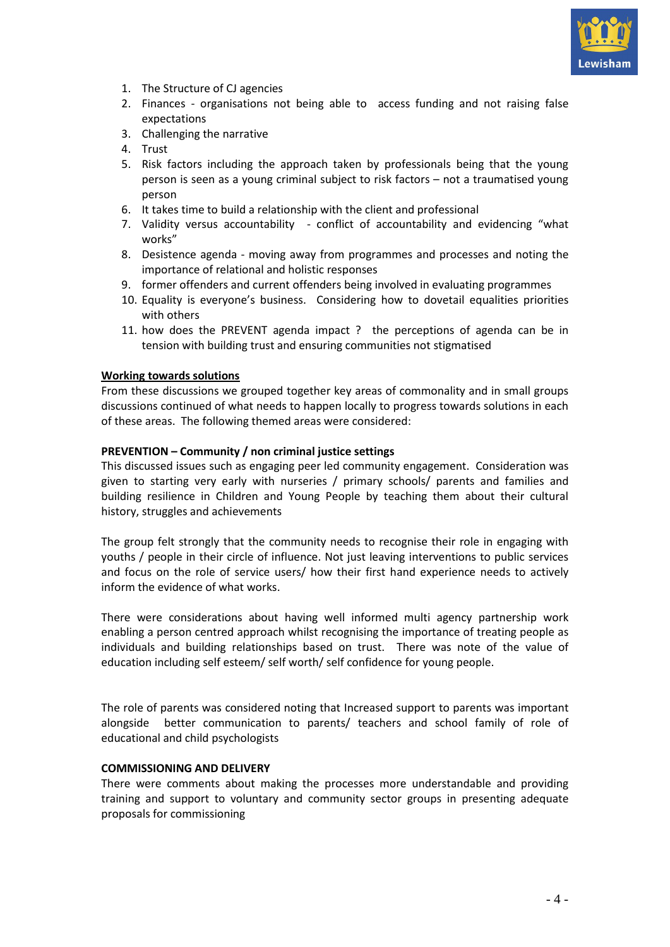

- 1. The Structure of CJ agencies
- 2. Finances organisations not being able to access funding and not raising false expectations
- 3. Challenging the narrative
- 4. Trust
- 5. Risk factors including the approach taken by professionals being that the young person is seen as a young criminal subject to risk factors – not a traumatised young person
- 6. It takes time to build a relationship with the client and professional
- 7. Validity versus accountability conflict of accountability and evidencing "what works"
- 8. Desistence agenda moving away from programmes and processes and noting the importance of relational and holistic responses
- 9. former offenders and current offenders being involved in evaluating programmes
- 10. Equality is everyone's business. Considering how to dovetail equalities priorities with others
- 11. how does the PREVENT agenda impact ? the perceptions of agenda can be in tension with building trust and ensuring communities not stigmatised

## **Working towards solutions**

From these discussions we grouped together key areas of commonality and in small groups discussions continued of what needs to happen locally to progress towards solutions in each of these areas. The following themed areas were considered:

#### **PREVENTION – Community / non criminal justice settings**

This discussed issues such as engaging peer led community engagement. Consideration was given to starting very early with nurseries / primary schools/ parents and families and building resilience in Children and Young People by teaching them about their cultural history, struggles and achievements

The group felt strongly that the community needs to recognise their role in engaging with youths / people in their circle of influence. Not just leaving interventions to public services and focus on the role of service users/ how their first hand experience needs to actively inform the evidence of what works.

There were considerations about having well informed multi agency partnership work enabling a person centred approach whilst recognising the importance of treating people as individuals and building relationships based on trust. There was note of the value of education including self esteem/ self worth/ self confidence for young people.

The role of parents was considered noting that Increased support to parents was important alongside better communication to parents/ teachers and school family of role of educational and child psychologists

## **COMMISSIONING AND DELIVERY**

There were comments about making the processes more understandable and providing training and support to voluntary and community sector groups in presenting adequate proposals for commissioning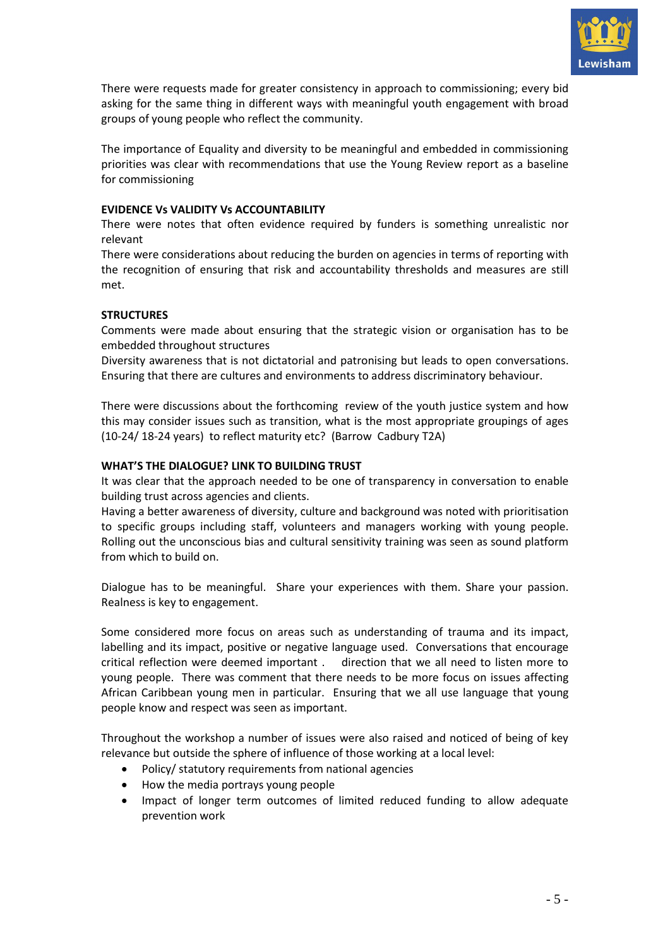

There were requests made for greater consistency in approach to commissioning; every bid asking for the same thing in different ways with meaningful youth engagement with broad groups of young people who reflect the community.

The importance of Equality and diversity to be meaningful and embedded in commissioning priorities was clear with recommendations that use the Young Review report as a baseline for commissioning

## **EVIDENCE Vs VALIDITY Vs ACCOUNTABILITY**

There were notes that often evidence required by funders is something unrealistic nor relevant

There were considerations about reducing the burden on agencies in terms of reporting with the recognition of ensuring that risk and accountability thresholds and measures are still met.

## **STRUCTURES**

Comments were made about ensuring that the strategic vision or organisation has to be embedded throughout structures

Diversity awareness that is not dictatorial and patronising but leads to open conversations. Ensuring that there are cultures and environments to address discriminatory behaviour.

There were discussions about the forthcoming review of the youth justice system and how this may consider issues such as transition, what is the most appropriate groupings of ages (10-24/ 18-24 years) to reflect maturity etc? (Barrow Cadbury T2A)

## **WHAT'S THE DIALOGUE? LINK TO BUILDING TRUST**

It was clear that the approach needed to be one of transparency in conversation to enable building trust across agencies and clients.

Having a better awareness of diversity, culture and background was noted with prioritisation to specific groups including staff, volunteers and managers working with young people. Rolling out the unconscious bias and cultural sensitivity training was seen as sound platform from which to build on.

Dialogue has to be meaningful. Share your experiences with them. Share your passion. Realness is key to engagement.

Some considered more focus on areas such as understanding of trauma and its impact, labelling and its impact, positive or negative language used. Conversations that encourage critical reflection were deemed important . direction that we all need to listen more to young people. There was comment that there needs to be more focus on issues affecting African Caribbean young men in particular. Ensuring that we all use language that young people know and respect was seen as important.

Throughout the workshop a number of issues were also raised and noticed of being of key relevance but outside the sphere of influence of those working at a local level:

- Policy/ statutory requirements from national agencies
- How the media portrays young people
- Impact of longer term outcomes of limited reduced funding to allow adequate prevention work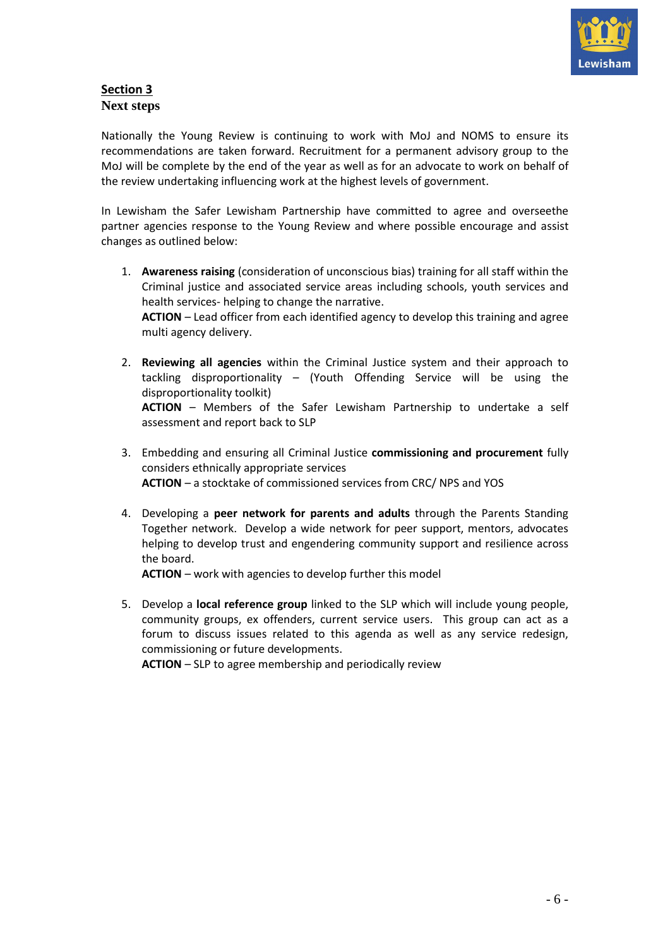

## **Section 3 Next steps**

Nationally the Young Review is continuing to work with MoJ and NOMS to ensure its recommendations are taken forward. Recruitment for a permanent advisory group to the MoJ will be complete by the end of the year as well as for an advocate to work on behalf of the review undertaking influencing work at the highest levels of government.

In Lewisham the Safer Lewisham Partnership have committed to agree and overseethe partner agencies response to the Young Review and where possible encourage and assist changes as outlined below:

- 1. **Awareness raising** (consideration of unconscious bias) training for all staff within the Criminal justice and associated service areas including schools, youth services and health services- helping to change the narrative. **ACTION** – Lead officer from each identified agency to develop this training and agree multi agency delivery.
- 2. **Reviewing all agencies** within the Criminal Justice system and their approach to tackling disproportionality – (Youth Offending Service will be using the disproportionality toolkit) **ACTION** – Members of the Safer Lewisham Partnership to undertake a self assessment and report back to SLP
- 3. Embedding and ensuring all Criminal Justice **commissioning and procurement** fully considers ethnically appropriate services **ACTION** – a stocktake of commissioned services from CRC/ NPS and YOS
- 4. Developing a **peer network for parents and adults** through the Parents Standing Together network. Develop a wide network for peer support, mentors, advocates helping to develop trust and engendering community support and resilience across the board.

**ACTION** – work with agencies to develop further this model

5. Develop a **local reference group** linked to the SLP which will include young people, community groups, ex offenders, current service users. This group can act as a forum to discuss issues related to this agenda as well as any service redesign, commissioning or future developments.

**ACTION** – SLP to agree membership and periodically review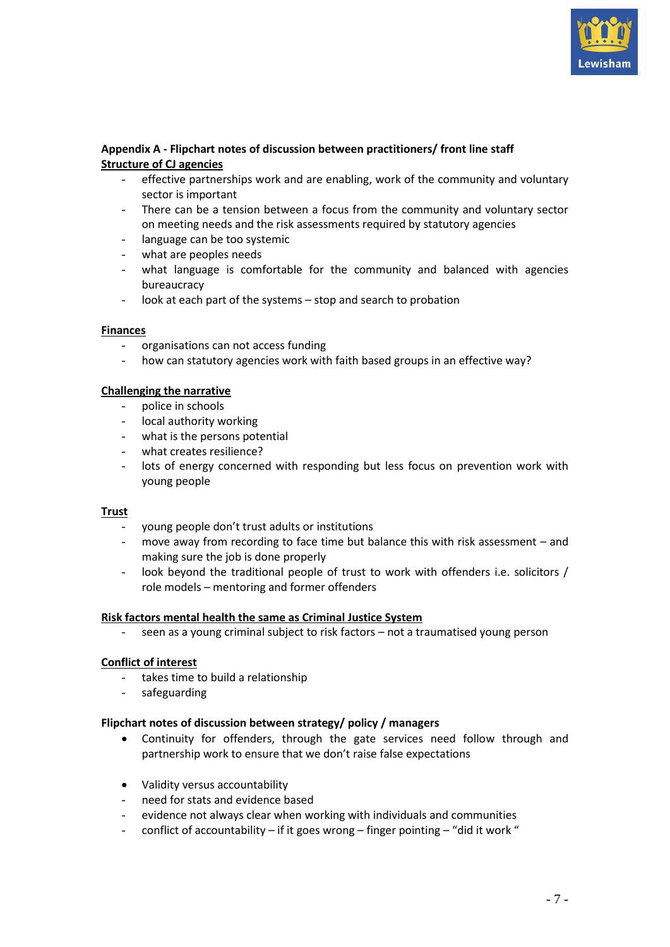

## **Appendix A - Flipchart notes of discussion between practitioners/ front line staff Structure of CJ agencies**

- effective partnerships work and are enabling, work of the community and voluntary sector is important
- There can be a tension between a focus from the community and voluntary sector on meeting needs and the risk assessments required by statutory agencies
- language can be too systemic
- what are peoples needs
- what language is comfortable for the community and balanced with agencies bureaucracy
- look at each part of the systems stop and search to probation

#### **Finances**

- organisations can not access funding
- how can statutory agencies work with faith based groups in an effective way?

#### **Challenging the narrative**

- police in schools
- local authority working
- what is the persons potential
- what creates resilience?
- lots of energy concerned with responding but less focus on prevention work with young people

## **Trust**

- young people don't trust adults or institutions
- move away from recording to face time but balance this with risk assessment and making sure the job is done properly
- look beyond the traditional people of trust to work with offenders i.e. solicitors / role models – mentoring and former offenders

## **Risk factors mental health the same as Criminal Justice System**

- seen as a young criminal subject to risk factors – not a traumatised young person

#### **Conflict of interest**

- takes time to build a relationship
- safeguarding

#### **Flipchart notes of discussion between strategy/ policy / managers**

- Continuity for offenders, through the gate services need follow through and partnership work to ensure that we don't raise false expectations
- Validity versus accountability
- need for stats and evidence based
- evidence not always clear when working with individuals and communities
- conflict of accountability if it goes wrong finger pointing "did it work "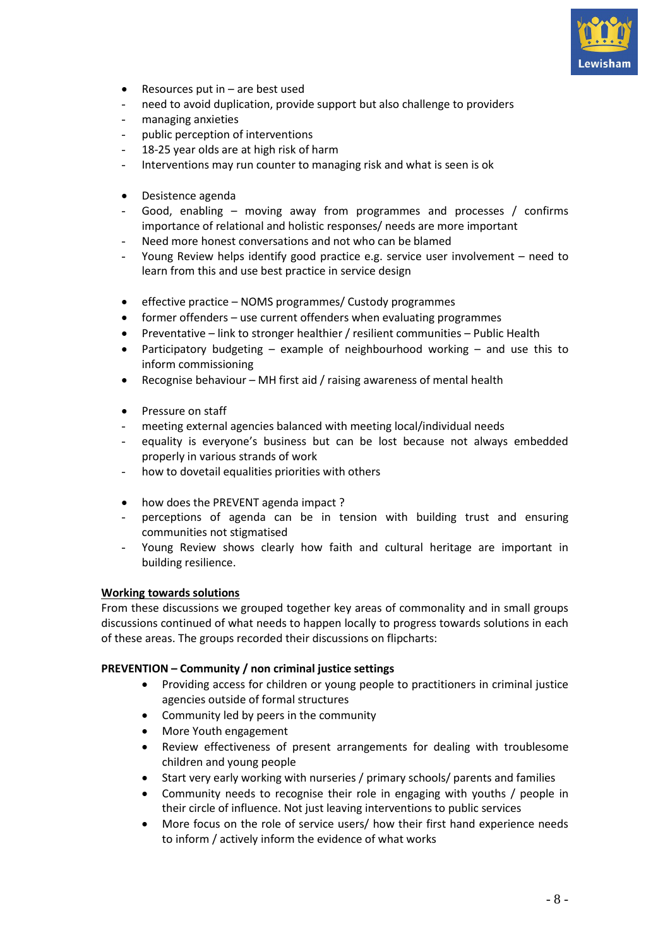

- $\bullet$  Resources put in  $-$  are best used
- need to avoid duplication, provide support but also challenge to providers
- managing anxieties
- public perception of interventions
- 18-25 year olds are at high risk of harm
- Interventions may run counter to managing risk and what is seen is ok
- Desistence agenda
- Good, enabling moving away from programmes and processes / confirms importance of relational and holistic responses/ needs are more important
- Need more honest conversations and not who can be blamed
- Young Review helps identify good practice e.g. service user involvement need to learn from this and use best practice in service design
- effective practice NOMS programmes/ Custody programmes
- former offenders use current offenders when evaluating programmes
- Preventative link to stronger healthier / resilient communities Public Health
- Participatory budgeting example of neighbourhood working and use this to inform commissioning
- Recognise behaviour MH first aid / raising awareness of mental health
- Pressure on staff
- meeting external agencies balanced with meeting local/individual needs
- equality is everyone's business but can be lost because not always embedded properly in various strands of work
- how to dovetail equalities priorities with others
- how does the PREVENT agenda impact?
- perceptions of agenda can be in tension with building trust and ensuring communities not stigmatised
- Young Review shows clearly how faith and cultural heritage are important in building resilience.

## **Working towards solutions**

From these discussions we grouped together key areas of commonality and in small groups discussions continued of what needs to happen locally to progress towards solutions in each of these areas. The groups recorded their discussions on flipcharts:

## **PREVENTION – Community / non criminal justice settings**

- Providing access for children or young people to practitioners in criminal justice agencies outside of formal structures
- Community led by peers in the community
- More Youth engagement
- Review effectiveness of present arrangements for dealing with troublesome children and young people
- Start very early working with nurseries / primary schools/ parents and families
- Community needs to recognise their role in engaging with youths / people in their circle of influence. Not just leaving interventions to public services
- More focus on the role of service users/ how their first hand experience needs to inform / actively inform the evidence of what works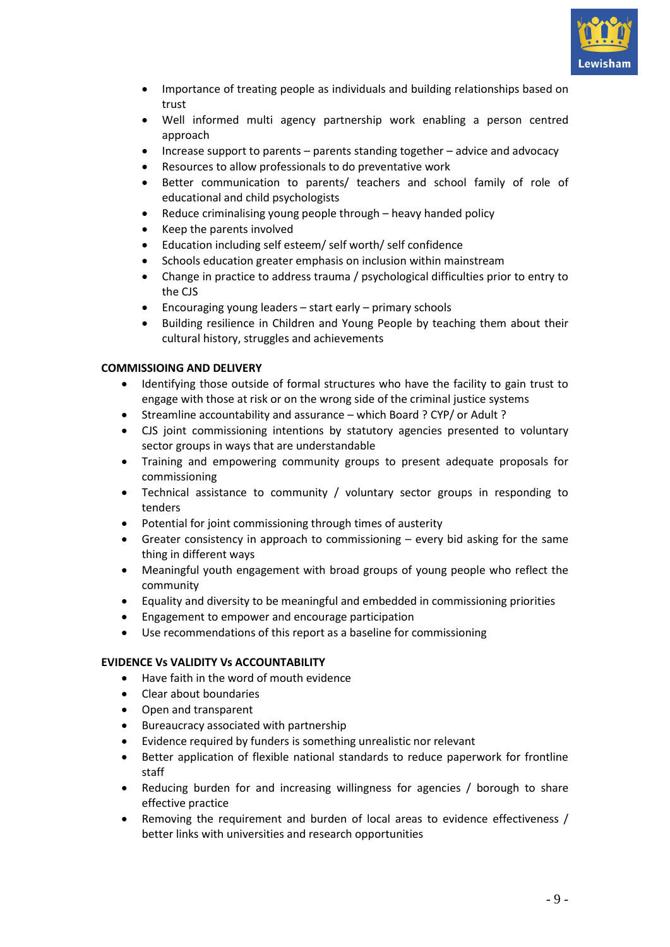

- Importance of treating people as individuals and building relationships based on trust
- Well informed multi agency partnership work enabling a person centred approach
- Increase support to parents parents standing together advice and advocacy
- Resources to allow professionals to do preventative work
- Better communication to parents/ teachers and school family of role of educational and child psychologists
- Reduce criminalising young people through heavy handed policy
- Keep the parents involved
- Education including self esteem/ self worth/ self confidence
- Schools education greater emphasis on inclusion within mainstream
- Change in practice to address trauma / psychological difficulties prior to entry to the CJS
- Encouraging young leaders start early primary schools
- Building resilience in Children and Young People by teaching them about their cultural history, struggles and achievements

## **COMMISSIOING AND DELIVERY**

- Identifying those outside of formal structures who have the facility to gain trust to engage with those at risk or on the wrong side of the criminal justice systems
- Streamline accountability and assurance which Board ? CYP/ or Adult ?
- CJS joint commissioning intentions by statutory agencies presented to voluntary sector groups in ways that are understandable
- Training and empowering community groups to present adequate proposals for commissioning
- Technical assistance to community / voluntary sector groups in responding to tenders
- Potential for joint commissioning through times of austerity
- Greater consistency in approach to commissioning  $-$  every bid asking for the same thing in different ways
- Meaningful youth engagement with broad groups of young people who reflect the community
- Equality and diversity to be meaningful and embedded in commissioning priorities
- Engagement to empower and encourage participation
- Use recommendations of this report as a baseline for commissioning

## **EVIDENCE Vs VALIDITY Vs ACCOUNTABILITY**

- Have faith in the word of mouth evidence
- Clear about boundaries
- Open and transparent
- Bureaucracy associated with partnership
- Evidence required by funders is something unrealistic nor relevant
- Better application of flexible national standards to reduce paperwork for frontline staff
- Reducing burden for and increasing willingness for agencies / borough to share effective practice
- Removing the requirement and burden of local areas to evidence effectiveness / better links with universities and research opportunities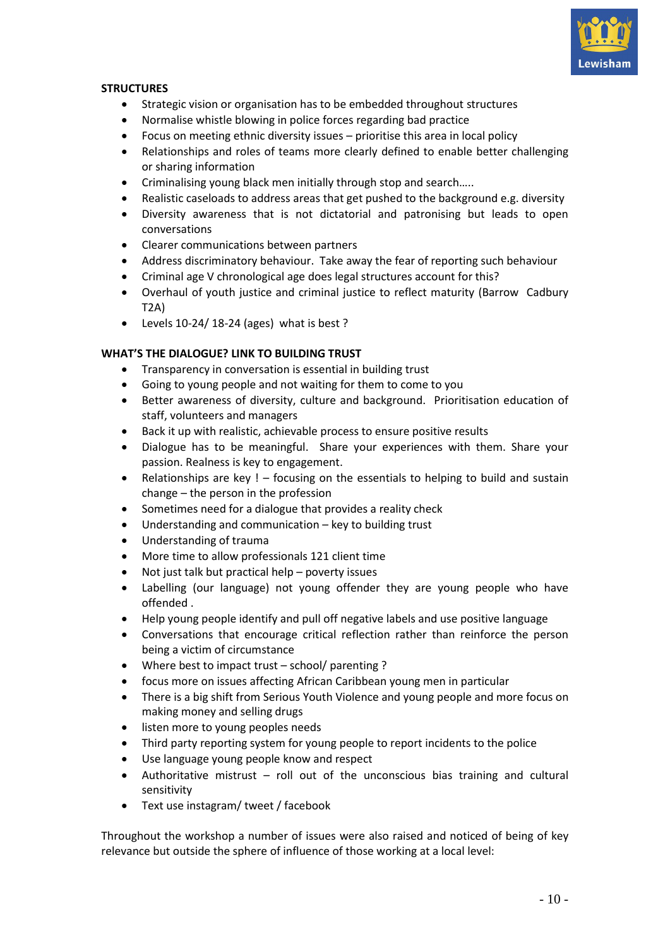

## **STRUCTURES**

- Strategic vision or organisation has to be embedded throughout structures
- Normalise whistle blowing in police forces regarding bad practice
- Focus on meeting ethnic diversity issues prioritise this area in local policy
- Relationships and roles of teams more clearly defined to enable better challenging or sharing information
- Criminalising young black men initially through stop and search…..
- Realistic caseloads to address areas that get pushed to the background e.g. diversity
- Diversity awareness that is not dictatorial and patronising but leads to open conversations
- Clearer communications between partners
- Address discriminatory behaviour. Take away the fear of reporting such behaviour
- Criminal age V chronological age does legal structures account for this?
- Overhaul of youth justice and criminal justice to reflect maturity (Barrow Cadbury T2A)
- Levels 10-24/ 18-24 (ages) what is best ?

## **WHAT'S THE DIALOGUE? LINK TO BUILDING TRUST**

- Transparency in conversation is essential in building trust
- Going to young people and not waiting for them to come to you
- Better awareness of diversity, culture and background. Prioritisation education of staff, volunteers and managers
- Back it up with realistic, achievable process to ensure positive results
- Dialogue has to be meaningful. Share your experiences with them. Share your passion. Realness is key to engagement.
- Relationships are key ! focusing on the essentials to helping to build and sustain change – the person in the profession
- Sometimes need for a dialogue that provides a reality check
- Understanding and communication key to building trust
- Understanding of trauma
- More time to allow professionals 121 client time
- Not just talk but practical help poverty issues
- Labelling (our language) not young offender they are young people who have offended .
- Help young people identify and pull off negative labels and use positive language
- Conversations that encourage critical reflection rather than reinforce the person being a victim of circumstance
- Where best to impact trust school/ parenting ?
- focus more on issues affecting African Caribbean young men in particular
- There is a big shift from Serious Youth Violence and young people and more focus on making money and selling drugs
- listen more to young peoples needs
- Third party reporting system for young people to report incidents to the police
- Use language young people know and respect
- Authoritative mistrust roll out of the unconscious bias training and cultural sensitivity
- Text use instagram/ tweet / facebook

Throughout the workshop a number of issues were also raised and noticed of being of key relevance but outside the sphere of influence of those working at a local level: